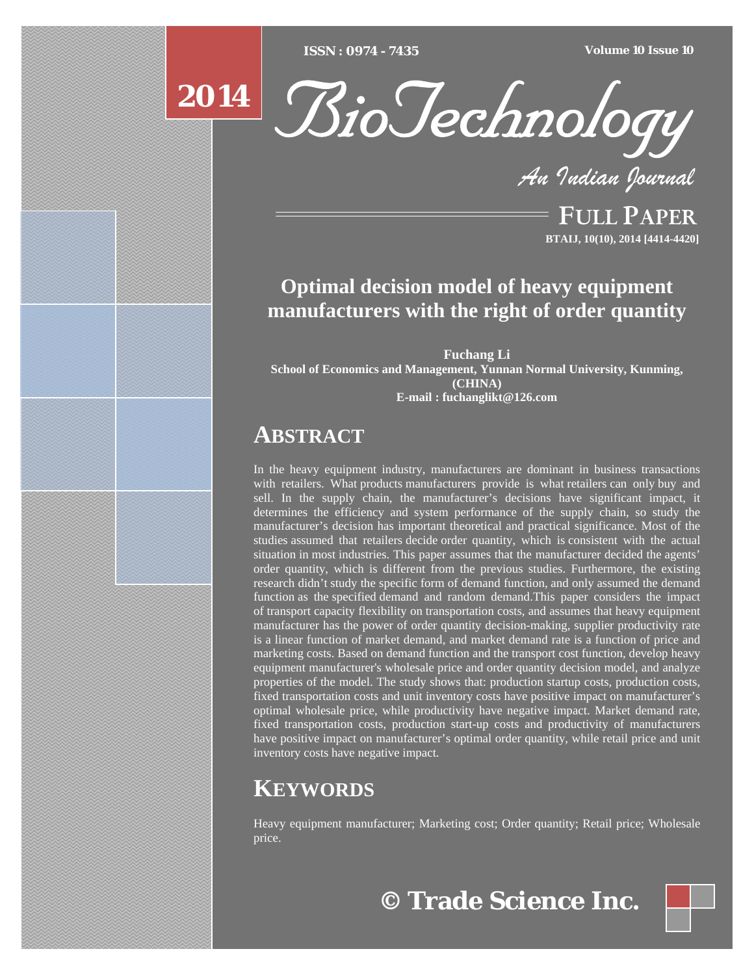[Type text] [Type text] [Type text] *ISSN : 0974 - 7435 Volume 10 Issue 10*





*An Indian Journal*

FULL PAPER **BTAIJ, 10(10), 2014 [4414-4420]**

# **Optimal decision model of heavy equipment manufacturers with the right of order quantity**

**Fuchang Li School of Economics and Management, Yunnan Normal University, Kunming, (CHINA) E-mail : fuchanglikt@126.com**

# **ABSTRACT**

In the heavy equipment industry, manufacturers are dominant in business transactions with retailers. What products manufacturers provide is what retailers can only buy and sell. In the supply chain, the manufacturer's decisions have significant impact, it determines the efficiency and system performance of the supply chain, so study the manufacturer's decision has important theoretical and practical significance. Most of the studies assumed that retailers decide order quantity, which is consistent with the actual situation in most industries. This paper assumes that the manufacturer decided the agents' order quantity, which is different from the previous studies. Furthermore, the existing research didn't study the specific form of demand function, and only assumed the demand function as the specified demand and random demand.This paper considers the impact of transport capacity flexibility on transportation costs, and assumes that heavy equipment manufacturer has the power of order quantity decision-making, supplier productivity rate is a linear function of market demand, and market demand rate is a function of price and marketing costs. Based on demand function and the transport cost function, develop heavy equipment manufacturer's wholesale price and order quantity decision model, and analyze properties of the model. The study shows that: production startup costs, production costs, fixed transportation costs and unit inventory costs have positive impact on manufacturer's optimal wholesale price, while productivity have negative impact. Market demand rate, fixed transportation costs, production start-up costs and productivity of manufacturers have positive impact on manufacturer's optimal order quantity, while retail price and unit inventory costs have negative impact.

# **KEYWORDS**

Heavy equipment manufacturer; Marketing cost; Order quantity; Retail price; Wholesale price.

**© Trade Science Inc.**

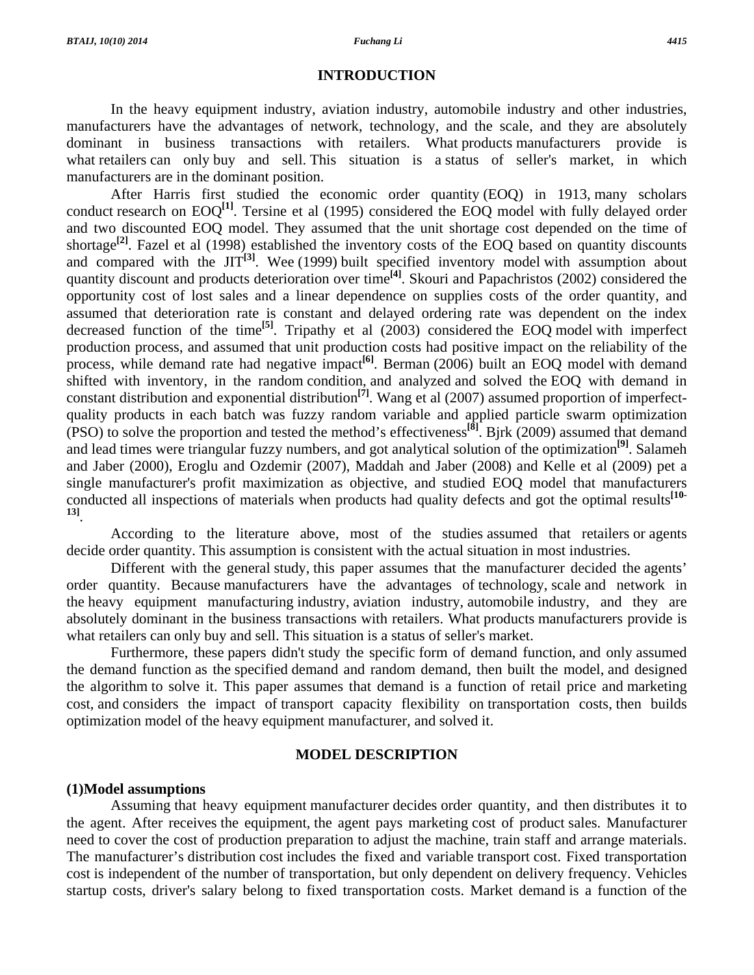#### **INTRODUCTION**

 In the heavy equipment industry, aviation industry, automobile industry and other industries, manufacturers have the advantages of network, technology, and the scale, and they are absolutely dominant in business transactions with retailers. What products manufacturers provide is what retailers can only buy and sell. This situation is a status of seller's market, in which manufacturers are in the dominant position.

 After Harris first studied the economic order quantity (EOQ) in 1913, many scholars conduct research on EOQ**[1]**. Tersine et al (1995) considered the EOQ model with fully delayed order and two discounted EOQ model. They assumed that the unit shortage cost depended on the time of shortage<sup>[2]</sup>. Fazel et al (1998) established the inventory costs of the EOQ based on quantity discounts and compared with the  $JIT^{[3]}$ . Wee (1999) built specified inventory model with assumption about quantity discount and products deterioration over time**[4]**. Skouri and Papachristos (2002) considered the opportunity cost of lost sales and a linear dependence on supplies costs of the order quantity, and assumed that deterioration rate is constant and delayed ordering rate was dependent on the index decreased function of the time**[5]**. Tripathy et al (2003) considered the EOQ model with imperfect production process, and assumed that unit production costs had positive impact on the reliability of the process, while demand rate had negative impact<sup>[6]</sup>. Berman (2006) built an EOQ model with demand shifted with inventory, in the random condition, and analyzed and solved the EOQ with demand in constant distribution and exponential distribution**[7]**. Wang et al (2007) assumed proportion of imperfectquality products in each batch was fuzzy random variable and applied particle swarm optimization (PSO) to solve the proportion and tested the method's effectiveness**[8]**. Bjrk (2009) assumed that demand and lead times were triangular fuzzy numbers, and got analytical solution of the optimization**[9]**. Salameh and Jaber (2000), Eroglu and Ozdemir (2007), Maddah and Jaber (2008) and Kelle et al (2009) pet a single manufacturer's profit maximization as objective, and studied EOQ model that manufacturers conducted all inspections of materials when products had quality defects and got the optimal results**[10- 13]**.

 According to the literature above, most of the studies assumed that retailers or agents decide order quantity. This assumption is consistent with the actual situation in most industries.

 Different with the general study, this paper assumes that the manufacturer decided the agents' order quantity. Because manufacturers have the advantages of technology, scale and network in the heavy equipment manufacturing industry, aviation industry, automobile industry, and they are absolutely dominant in the business transactions with retailers. What products manufacturers provide is what retailers can only buy and sell. This situation is a status of seller's market.

 Furthermore, these papers didn't study the specific form of demand function, and only assumed the demand function as the specified demand and random demand, then built the model, and designed the algorithm to solve it. This paper assumes that demand is a function of retail price and marketing cost, and considers the impact of transport capacity flexibility on transportation costs, then builds optimization model of the heavy equipment manufacturer, and solved it.

## **MODEL DESCRIPTION**

### **(1)Model assumptions**

 Assuming that heavy equipment manufacturer decides order quantity, and then distributes it to the agent. After receives the equipment, the agent pays marketing cost of product sales. Manufacturer need to cover the cost of production preparation to adjust the machine, train staff and arrange materials. The manufacturer's distribution cost includes the fixed and variable transport cost. Fixed transportation cost is independent of the number of transportation, but only dependent on delivery frequency. Vehicles startup costs, driver's salary belong to fixed transportation costs. Market demand is a function of the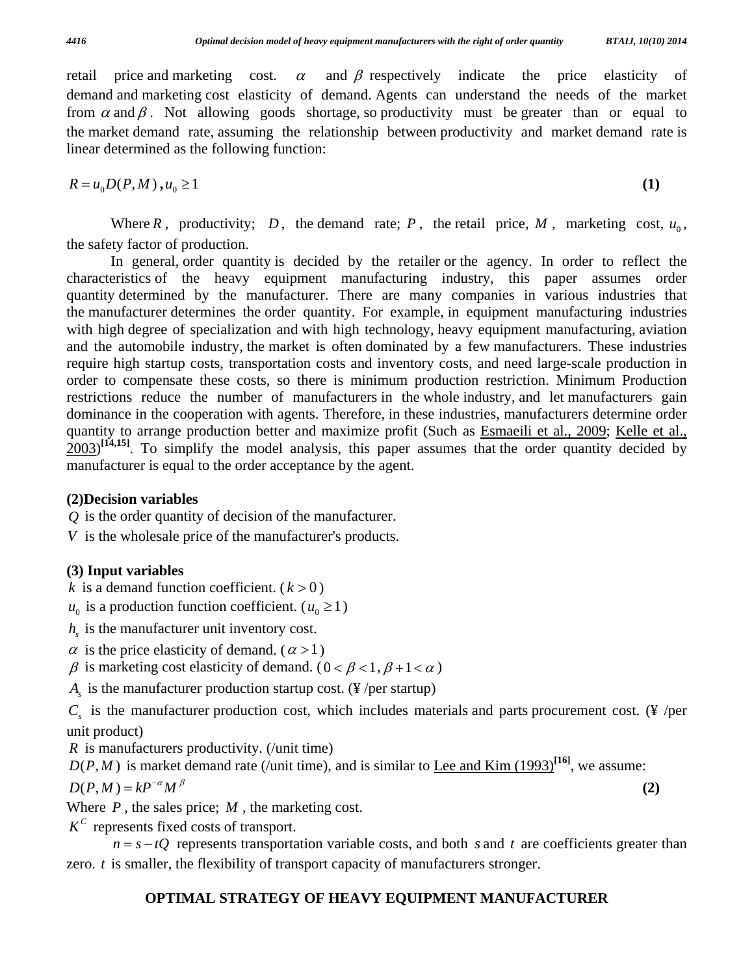retail price and marketing cost.  $\alpha$  and  $\beta$  respectively indicate the price elasticity of demand and marketing cost elasticity of demand. Agents can understand the needs of the market from  $\alpha$  and  $\beta$ . Not allowing goods shortage, so productivity must be greater than or equal to the market demand rate, assuming the relationship between productivity and market demand rate is linear determined as the following function:

$$
R = u_0 D(P, M), u_0 \ge 1
$$
\n<sup>(1)</sup>

Where  $R$ , productivity;  $D$ , the demand rate;  $P$ , the retail price,  $M$ , marketing cost,  $u_0$ , the safety factor of production.

 In general, order quantity is decided by the retailer or the agency. In order to reflect the characteristics of the heavy equipment manufacturing industry, this paper assumes order quantity determined by the manufacturer. There are many companies in various industries that the manufacturer determines the order quantity. For example, in equipment manufacturing industries with high degree of specialization and with high technology, heavy equipment manufacturing, aviation and the automobile industry, the market is often dominated by a few manufacturers. These industries require high startup costs, transportation costs and inventory costs, and need large-scale production in order to compensate these costs, so there is minimum production restriction. Minimum Production restrictions reduce the number of manufacturers in the whole industry, and let manufacturers gain dominance in the cooperation with agents. Therefore, in these industries, manufacturers determine order quantity to arrange production better and maximize profit (Such as Esmaeili et al., 2009; Kelle et al.,  $2003$ <sup>[14,15]</sup>. To simplify the model analysis, this paper assumes that the order quantity decided by manufacturer is equal to the order acceptance by the agent.

# **(2)Decision variables**

*Q* is the order quantity of decision of the manufacturer.

*V* is the wholesale price of the manufacturer's products.

# **(3) Input variables**

*k* is a demand function coefficient.  $(k>0)$ 

 $u_0$  is a production function coefficient. ( $u_0 \ge 1$ )

 $h<sub>s</sub>$  is the manufacturer unit inventory cost.

 $\alpha$  is the price elasticity of demand. ( $\alpha > 1$ )

 $β$  is marketing cost elasticity of demand. (0 <  $β$  < 1,  $β$  + 1 <  $α$ )

 $A<sub>s</sub>$  is the manufacturer production startup cost. (¥/per startup)

 $C_s$  is the manufacturer production cost, which includes materials and parts procurement cost. (¥ /per unit product)

*R* is manufacturers productivity. (/unit time)

 $D(P, M)$  is market demand rate (/unit time), and is similar to <u>Lee and Kim (1993</u>)<sup>[16]</sup>, we assume:

$$
D(P,M) = kP^{-\alpha}M^{\beta}
$$
 (2)

Where *P* , the sales price; *M* , the marketing cost.

 $K^c$  represents fixed costs of transport.

 $n = s - tQ$  represents transportation variable costs, and both *s* and *t* are coefficients greater than zero. *t* is smaller, the flexibility of transport capacity of manufacturers stronger.

# **OPTIMAL STRATEGY OF HEAVY EQUIPMENT MANUFACTURER**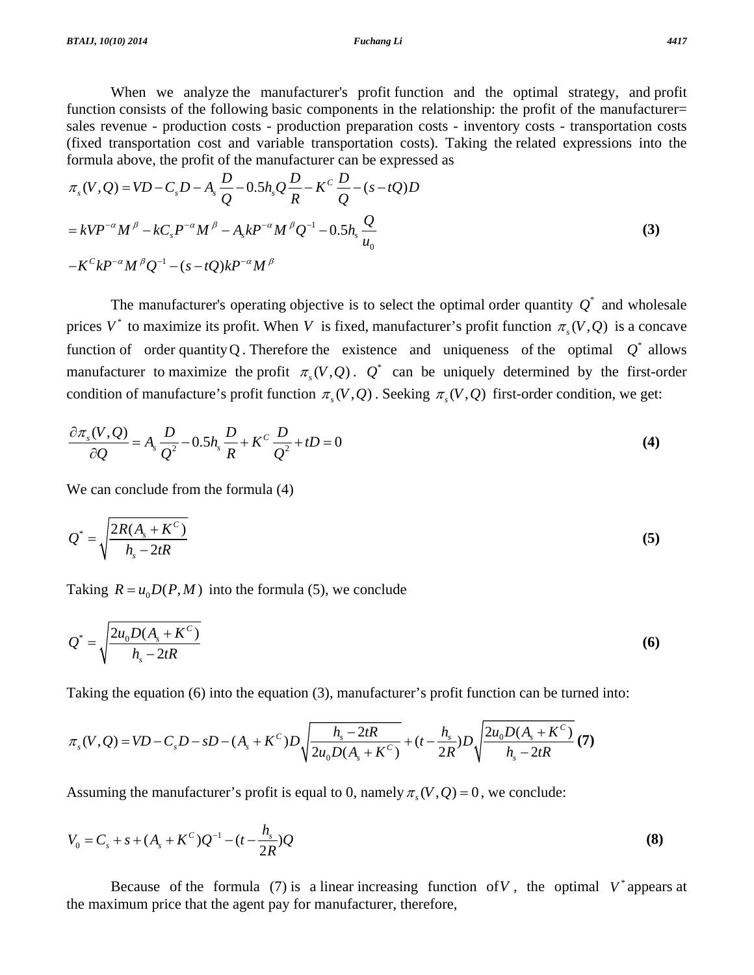*BTAIJ, 10(10) 2014 Fuchang Li 4417* 

 When we analyze the manufacturer's profit function and the optimal strategy, and profit function consists of the following basic components in the relationship: the profit of the manufacturer= sales revenue - production costs - production preparation costs - inventory costs - transportation costs (fixed transportation cost and variable transportation costs). Taking the related expressions into the formula above, the profit of the manufacturer can be expressed as

$$
\pi_s(V, Q) = VD - C_sD - A_s \frac{D}{Q} - 0.5h_s Q \frac{D}{R} - K^c \frac{D}{Q} - (s - tQ)D
$$
  
=  $kVP^{-\alpha}M^{\beta} - kC_s P^{-\alpha}M^{\beta} - A_s kP^{-\alpha}M^{\beta}Q^{-1} - 0.5h_s \frac{Q}{u_0}$   
 $-K^{c}kP^{-\alpha}M^{\beta}Q^{-1} - (s - tQ)kP^{-\alpha}M^{\beta}$  (3)

The manufacturer's operating objective is to select the optimal order quantity  $Q^*$  and wholesale prices  $V^*$  to maximize its profit. When *V* is fixed, manufacturer's profit function  $\pi_s(V, Q)$  is a concave function of order quantity Q. Therefore the existence and uniqueness of the optimal  $Q^*$  allows manufacturer to maximize the profit  $\pi ( V, Q )$ .  $Q^*$  can be uniquely determined by the first-order condition of manufacture's profit function  $\pi_{s}(V, Q)$ . Seeking  $\pi_{s}(V, Q)$  first-order condition, we get:

$$
\frac{\partial \pi_s(V, Q)}{\partial Q} = A_s \frac{D}{Q^2} - 0.5 h_s \frac{D}{R} + K^C \frac{D}{Q^2} + tD = 0
$$
\n(4)

We can conclude from the formula  $(4)$ 

$$
Q^* = \sqrt{\frac{2R(A_s + K^c)}{h_s - 2tR}}
$$
\n<sup>(5)</sup>

Taking  $R = u_0 D(P, M)$  into the formula (5), we conclude

$$
Q^* = \sqrt{\frac{2u_0 D(A_s + K^c)}{h_s - 2tR}}
$$
(6)

Taking the equation (6) into the equation (3), manufacturer's profit function can be turned into:

$$
\pi_s(V,Q) = VD - C_sD - sD - (A_s + K^C)D\sqrt{\frac{h_s - 2tR}{2u_0D(A_s + K^C)}} + (t - \frac{h_s}{2R})D\sqrt{\frac{2u_0D(A_s + K^C)}{h_s - 2tR}} \tag{7}
$$

Assuming the manufacturer's profit is equal to 0, namely  $\pi ( V, Q ) = 0$ , we conclude:

$$
V_0 = C_s + s + (A_s + K^C)Q^{-1} - (t - \frac{h_s}{2R})Q
$$
\n(8)

Because of the formula (7) is a linear increasing function of V, the optimal  $V^*$  appears at the maximum price that the agent pay for manufacturer, therefore,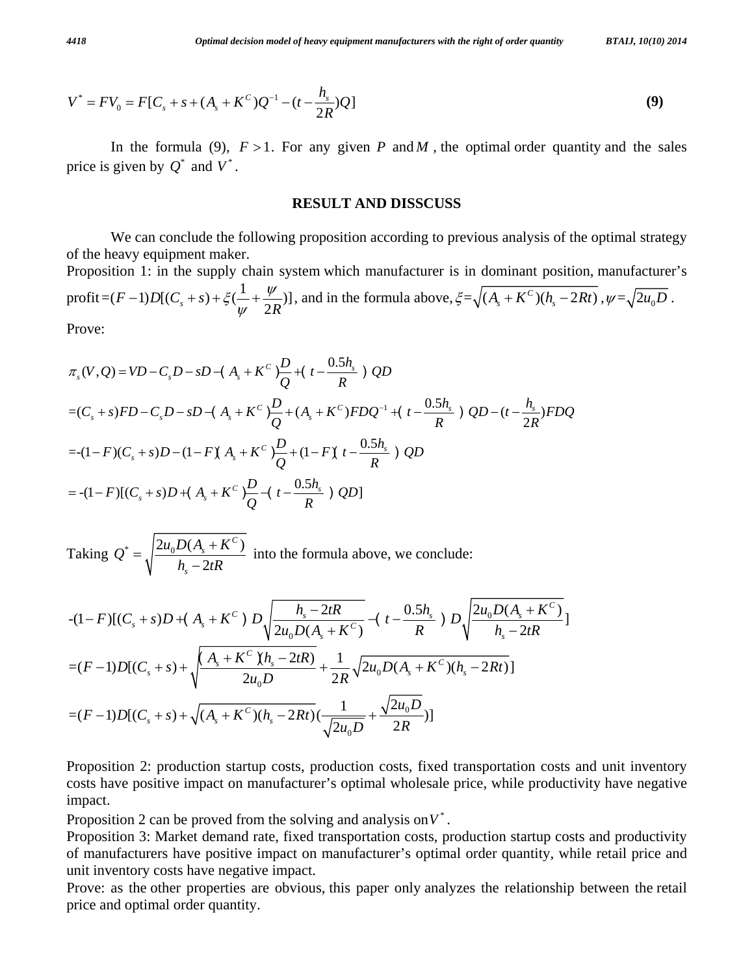$$
BTAIJ, 10(10) 2014
$$

$$
V^* = FV_0 = F[C_s + s + (A_s + K^C)Q^{-1} - (t - \frac{h_s}{2R})Q]
$$
\n(9)

In the formula (9),  $F > 1$ . For any given *P* and *M*, the optimal order quantity and the sales price is given by  $Q^*$  and  $V^*$ .

## **RESULT AND DISSCUSS**

 We can conclude the following proposition according to previous analysis of the optimal strategy of the heavy equipment maker.

Proposition 1: in the supply chain system which manufacturer is in dominant position, manufacturer's  $\text{profit} = (F - 1)D[(C_s + s) + \xi(\frac{1}{\psi} + \frac{\psi}{2R})]$  $(-1)D[(C_s + s) + \xi(\frac{1}{\psi} + \frac{\psi}{2R})]$ , and in the formula above,  $\xi = \sqrt{(A_s + K^c)(h_s - 2Rt)}$ ,  $\psi = \sqrt{2u_0D}$ . Prove:

$$
\pi_s(V, Q) = VD - C_sD - sD - (A_s + K^c) \frac{D}{Q} + (t - \frac{0.5h_s}{R}) QD
$$
  
=  $(C_s + s)FD - C_sD - sD - (A_s + K^c) \frac{D}{Q} + (A_s + K^c) F DQ^{-1} + (t - \frac{0.5h_s}{R}) QD - (t - \frac{h_s}{2R}) F DQ$   
=  $-(1 - F)(C_s + s)D - (1 - F)(A_s + K^c) \frac{D}{Q} + (1 - F)(t - \frac{0.5h_s}{R}) QD$   
=  $-(1 - F)[(C_s + s)D + (A_s + K^c) \frac{D}{Q} - (t - \frac{0.5h_s}{R}) QD]$ 

Taking  $Q^* = \sqrt{\frac{2u_0D(A_s + K^C)}{2}}$ 2 *C s*  $Q^* = \sqrt{\frac{2u_0 D(A_s + K^C)}{h_s - 2tR}}$  into the formula above, we conclude:

$$
-(1-F)[(C_s+s)D+(A_s+K^c) D\sqrt{\frac{h_s-2tR}{2u_0D(A_s+K^c)}}-(t-\frac{0.5h_s}{R}) D\sqrt{\frac{2u_0D(A_s+K^c)}{h_s-2tR}}]
$$
  
= $(F-1)D[(C_s+s)+\sqrt{\frac{(A_s+K^c)(h_s-2tR)}{2u_0D}}+\frac{1}{2R}\sqrt{2u_0D(A_s+K^c)(h_s-2Rt)}]$   
= $(F-1)D[(C_s+s)+\sqrt{(A_s+K^c)(h_s-2Rt)}(\frac{1}{\sqrt{2u_0D}}+\frac{\sqrt{2u_0D}}{2R})]$ 

Proposition 2: production startup costs, production costs, fixed transportation costs and unit inventory costs have positive impact on manufacturer's optimal wholesale price, while productivity have negative impact.

Proposition 2 can be proved from the solving and analysis on  $V^*$ .

Proposition 3: Market demand rate, fixed transportation costs, production startup costs and productivity of manufacturers have positive impact on manufacturer's optimal order quantity, while retail price and unit inventory costs have negative impact.

Prove: as the other properties are obvious, this paper only analyzes the relationship between the retail price and optimal order quantity.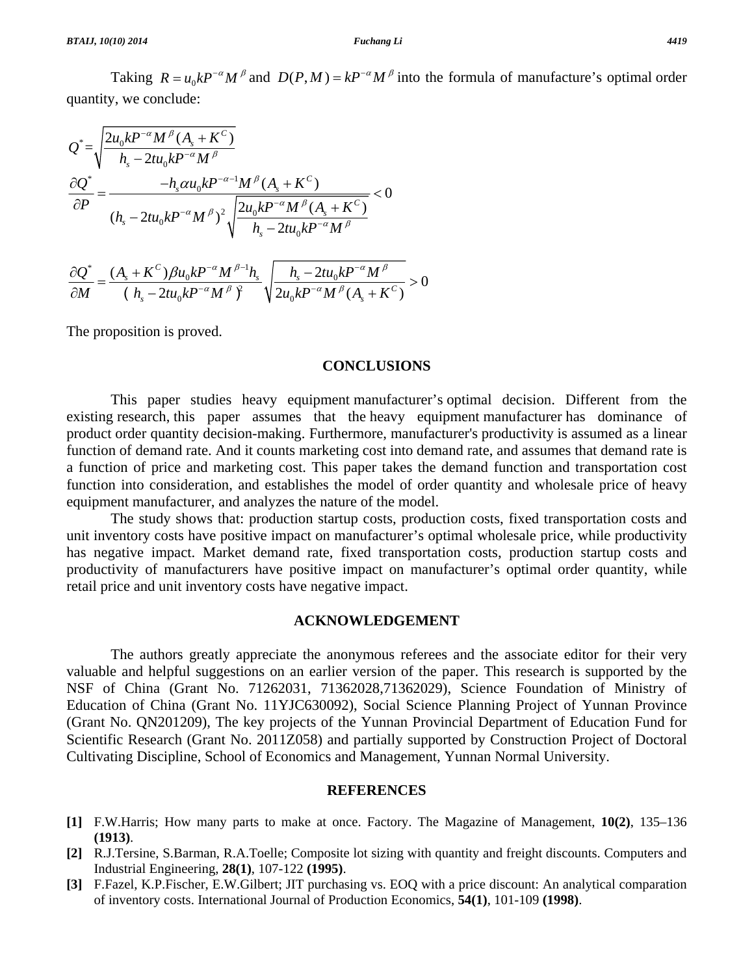Taking  $R = u_0 k P^{-\alpha} M^{\beta}$  and  $D(P, M) = k P^{-\alpha} M^{\beta}$  into the formula of manufacture's optimal order quantity, we conclude:

$$
Q^* = \sqrt{\frac{2u_0kP^{-\alpha}M^{\beta}(A_s + K^c)}{h_s - 2tu_0kP^{-\alpha}M^{\beta}}}
$$
  

$$
\frac{\partial Q^*}{\partial P} = \frac{-h_s\alpha u_0kP^{-\alpha-1}M^{\beta}(A_s + K^c)}{(h_s - 2tu_0kP^{-\alpha}M^{\beta})^2\sqrt{\frac{2u_0kP^{-\alpha}M^{\beta}(A_s + K^c)}{h_s - 2tu_0kP^{-\alpha}M^{\beta}}}} < 0
$$

$$
\frac{\partial Q^*}{\partial M} = \frac{(A_s + K^C) \beta u_0 k P^{-\alpha} M^{\beta-1} h_s}{\left(h_s - 2tu_0 k P^{-\alpha} M^{\beta}\right)^2} \sqrt{\frac{h_s - 2tu_0 k P^{-\alpha} M^{\beta}}{2u_0 k P^{-\alpha} M^{\beta} (A_s + K^C)}} > 0
$$

The proposition is proved.

## **CONCLUSIONS**

 This paper studies heavy equipment manufacturer's optimal decision. Different from the existing research, this paper assumes that the heavy equipment manufacturer has dominance of product order quantity decision-making. Furthermore, manufacturer's productivity is assumed as a linear function of demand rate. And it counts marketing cost into demand rate, and assumes that demand rate is a function of price and marketing cost. This paper takes the demand function and transportation cost function into consideration, and establishes the model of order quantity and wholesale price of heavy equipment manufacturer, and analyzes the nature of the model.

 The study shows that: production startup costs, production costs, fixed transportation costs and unit inventory costs have positive impact on manufacturer's optimal wholesale price, while productivity has negative impact. Market demand rate, fixed transportation costs, production startup costs and productivity of manufacturers have positive impact on manufacturer's optimal order quantity, while retail price and unit inventory costs have negative impact.

#### **ACKNOWLEDGEMENT**

 The authors greatly appreciate the anonymous referees and the associate editor for their very valuable and helpful suggestions on an earlier version of the paper. This research is supported by the NSF of China (Grant No. 71262031, 71362028,71362029), Science Foundation of Ministry of Education of China (Grant No. 11YJC630092), Social Science Planning Project of Yunnan Province (Grant No. QN201209), The key projects of the Yunnan Provincial Department of Education Fund for Scientific Research (Grant No. 2011Z058) and partially supported by Construction Project of Doctoral Cultivating Discipline, School of Economics and Management, Yunnan Normal University.

## **REFERENCES**

- **[1]** F.W.Harris; How many parts to make at once. Factory. The Magazine of Management, **10(2)**, 135–136 **(1913)**.
- **[2]** R.J.Tersine, S.Barman, R.A.Toelle; Composite lot sizing with quantity and freight discounts. Computers and Industrial Engineering, **28(1)**, 107-122 **(1995)**.
- **[3]** F.Fazel, K.P.Fischer, E.W.Gilbert; JIT purchasing vs. EOQ with a price discount: An analytical comparation of inventory costs. International Journal of Production Economics, **54(1)**, 101-109 **(1998)**.